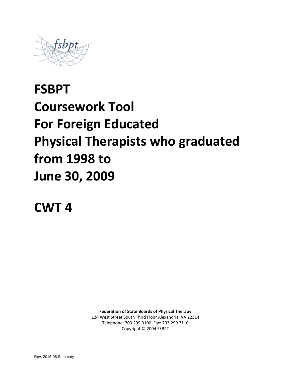

# **FSBPT Coursework Tool For Foreign Educated Physical Therapists who graduated from 1998 to June 30, 2009**

**CWT 4**

**Federation of State Boards of Physical Therapy**

124 West Street South Third Floor Alexandria, VA 22314 Telephone: 703.299.3100 Fax: 703.299.3110 Copyright © 2004 FSBPT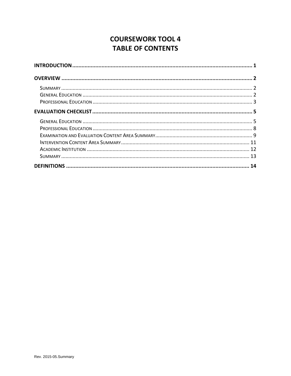# **COURSEWORK TOOL 4 TABLE OF CONTENTS**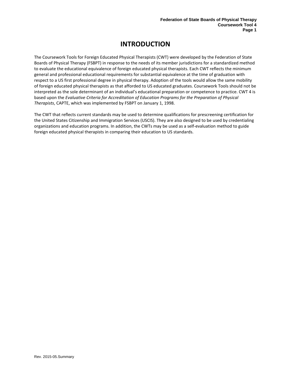# **INTRODUCTION**

<span id="page-2-0"></span>The Coursework Tools for Foreign Educated Physical Therapists (CWT) were developed by the Federation of State Boards of Physical Therapy (FSBPT) in response to the needs of its member jurisdictions for a standardized method to evaluate the educational equivalence of foreign educated physical therapists. Each CWT reflects the minimum general and professional educational requirements for substantial equivalence at the time of graduation with respect to a US first professional degree in physical therapy. Adoption of the tools would allow the same mobility of foreign educated physical therapists as that afforded to US educated graduates. Coursework Tools should not be interpreted as the sole determinant of an individual's educational preparation or competence to practice. CWT 4 is based upon the *Evaluative Criteria for Accreditation of Education Programs for the Preparation of Physical Therapists*, CAPTE, which was implemented by FSBPT on January 1, 1998.

The CWT that reflects current standards may be used to determine qualifications for prescreening certification for the United States Citizenship and Immigration Services (USCIS). They are also designed to be used by credentialing organizations and education programs. In addition, the CWTs may be used as a self-evaluation method to guide foreign educated physical therapists in comparing their education to US standards.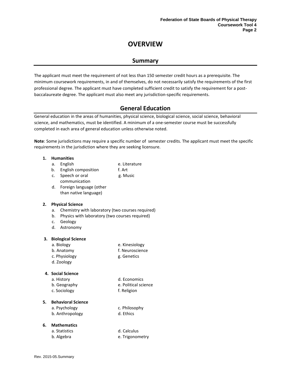## **OVERVIEW**

## **Summary**

<span id="page-3-1"></span><span id="page-3-0"></span>The applicant must meet the requirement of not less than 150 semester credit hours as a prerequisite. The minimum coursework requirements, in and of themselves, do not necessarily satisfy the requirements of the first professional degree. The applicant must have completed sufficient credit to satisfy the requirement for a postbaccalaureate degree. The applicant must also meet any jurisdiction-specific requirements.

## **General Education**

<span id="page-3-2"></span>General education in the areas of humanities, physical science, biological science, social science, behavioral science, and mathematics, must be identified. A minimum of a one-semester course must be successfully completed in each area of general education unless otherwise noted.

**Note**: Some jurisdictions may require a specific number of semester credits. The applicant must meet the specific requirements in the jurisdiction where they are seeking licensure.

#### **1. Humanities**

- a. English e. Literature
- b. English composition f. Art
- c. Speech or oral communication g. Music
- d. Foreign language (other than native language)

#### **2. Physical Science**

- a. Chemistry with laboratory (two courses required)
- b. Physics with laboratory (two courses required)
- c. Geology
- d. Astronomy

#### **3. Biological Science**

- a. Biology e. Kinesiology
	-
- b. Anatomy f. Neuroscience c. Physiology and g. Genetics
- d. Zoology
- 

#### **4. Social Science**

- a. History d. Economics
- b. Geography e. Political science
- c. Sociology f. Religion
	-

#### **5. Behavioral Science**

a. Psychology c. Philosophy b. Anthropology d. Ethics

#### **6. Mathematics**

| a. Statistics | d. Calculus     |
|---------------|-----------------|
| b. Algebra    | e. Trigonometry |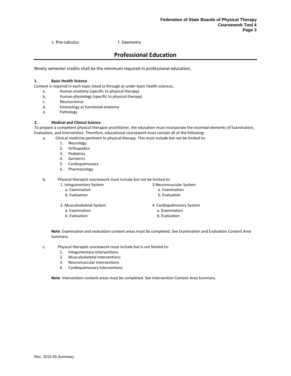c. Pre-calculus f. Geometry

## **Professional Education**

<span id="page-4-0"></span>Ninety semester credits shall be the minimum required in professional education.

#### **1. Basic Health Science**

Content is required in each topic listed (a through e) under basic health sciences**.**

- a. Human anatomy (specific to physical therapy)
- b. Human physiology (specific to physical therapy)
- c. Neuroscience
- d. Kinesiology or functional anatomy
- e. Pathology

#### **2. Medical and Clinical Science**

To prepare a competent physical therapist practitioner, the education must incorporate the essential elements of Examination, Evaluation, and Intervention. Therefore, educational coursework must contain all of the following:

- a. Clinical medicine pertinent to physical therapy. This must include but not be limited to:
	- 1. Neurology
	- 2. Orthopedics
	- 3. Pediatrics
	- 4. Geriatrics
	- 5. Cardiopulmonary
	- 6. Pharmacology
	- b. Physical therapist coursework must include but not be limited to:
		- 1. Integumentary System
			- a. Examination
			- b. Evaluation
		- 2. Musculoskeletal System
			- a. Examination b. Evaluation

4. Cardiopulmonary System

3.Neuromuscular System a. Examination b. Evaluation

- a. Examination
- b. Evaluation

**Note**: Examination and evaluation content areas must be completed. See Examination and Evaluation Content Area Summary.

- c. Physical therapist coursework must include but is not limited to:
	- 1. Integumentary Interventions
	- 2. Musculoskeletal Interventions
	- 3. Neuromuscular Interventions
	- 4. Cardiopulmonary Interventions

**Note**: Intervention content areas must be completed. See Intervention Content Area Summary.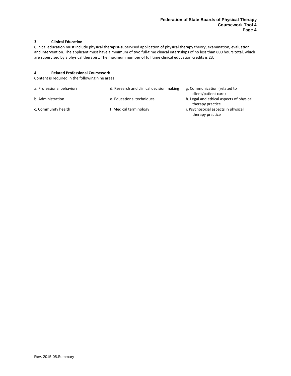#### **3. Clinical Education**

Clinical education must include physical therapist-supervised application of physical therapy theory, examination, evaluation, and intervention. The applicant must have a minimum of two full-time clinical internships of no less than 800 hours total, which are supervised by a physical therapist. The maximum number of full time clinical education credits is 23.

#### **4. Related Professional Coursework**

Content is required in the following nine areas:

| a. Professional behaviors | d. Research and clinical decision making | g. Communication (related to<br>client/patient care)         |
|---------------------------|------------------------------------------|--------------------------------------------------------------|
| b. Administration         | e. Educational techniques                | h. Legal and ethical aspects of physical<br>therapy practice |
| c. Community health       | f. Medical terminology                   | i. Psychosocial aspects in physical<br>therapy practice      |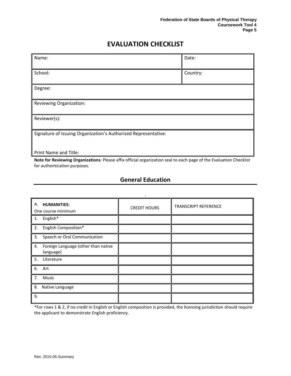# **EVALUATION CHECKLIST**

<span id="page-6-0"></span>

| Name:                                                                                                              | Date:    |  |  |
|--------------------------------------------------------------------------------------------------------------------|----------|--|--|
|                                                                                                                    |          |  |  |
| School:                                                                                                            | Country: |  |  |
|                                                                                                                    |          |  |  |
| Degree:                                                                                                            |          |  |  |
|                                                                                                                    |          |  |  |
| Reviewing Organization:                                                                                            |          |  |  |
|                                                                                                                    |          |  |  |
| Reviewer(s):                                                                                                       |          |  |  |
|                                                                                                                    |          |  |  |
| Signature of Issuing Organization's Authorized Representative:                                                     |          |  |  |
|                                                                                                                    |          |  |  |
|                                                                                                                    |          |  |  |
| <b>Print Name and Title:</b>                                                                                       |          |  |  |
| Note for Reviewing Organizations: Please affix official organization seal to each nage of the Evaluation Checklist |          |  |  |

<span id="page-6-1"></span>**Note for Reviewing Organizations**: Please affix official organization seal to each page of the Evaluation Checklist for authentication purposes.

## **General Education**

| <b>HUMANITIES:</b><br>А.<br>One course minimum         | <b>CREDIT HOURS</b> | <b>TRANSCRIPT REFERENCE</b> |
|--------------------------------------------------------|---------------------|-----------------------------|
| 1. English*                                            |                     |                             |
| English Composition*<br>2.                             |                     |                             |
| 3.<br>Speech or Oral Communication                     |                     |                             |
| Foreign Language (other than native<br>4.<br>language) |                     |                             |
| 5.<br>Literature                                       |                     |                             |
| 6. Art                                                 |                     |                             |
| 7.<br>Music                                            |                     |                             |
| 8.<br>Native Language                                  |                     |                             |
| 9.                                                     |                     |                             |

\*For rows 1 & 2, if no credit in English or English composition is provided, the licensing jurisdiction should require the applicant to demonstrate English proficiency.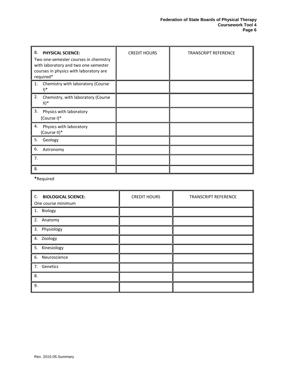| В.<br><b>PHYSICAL SCIENCE:</b><br>Two one-semester courses in chemistry<br>with laboratory and two one-semester<br>courses in physics with laboratory are<br>required* | <b>CREDIT HOURS</b> | <b>TRANSCRIPT REFERENCE</b> |
|------------------------------------------------------------------------------------------------------------------------------------------------------------------------|---------------------|-----------------------------|
| Chemistry with laboratory (Course<br>1.<br>$\mathsf{I})^*$                                                                                                             |                     |                             |
| 2.<br>Chemistry, with laboratory (Course<br>$II)^*$                                                                                                                    |                     |                             |
| 3.<br>Physics with laboratory<br>(Course I)*                                                                                                                           |                     |                             |
| 4.<br>Physics with laboratory<br>(Course II)*                                                                                                                          |                     |                             |
| 5.<br>Geology                                                                                                                                                          |                     |                             |
| 6.<br>Astronomy                                                                                                                                                        |                     |                             |
| 7.                                                                                                                                                                     |                     |                             |
| 8.                                                                                                                                                                     |                     |                             |

**\***Required

| C.<br><b>BIOLOGICAL SCIENCE:</b><br>One course minimum | <b>CREDIT HOURS</b> | <b>TRANSCRIPT REFERENCE</b> |
|--------------------------------------------------------|---------------------|-----------------------------|
| 1. Biology                                             |                     |                             |
| 2. Anatomy                                             |                     |                             |
| 3. Physiology                                          |                     |                             |
| 4. Zoology                                             |                     |                             |
| 5. Kinesiology                                         |                     |                             |
| 6. Neuroscience                                        |                     |                             |
| 7. Genetics                                            |                     |                             |
| 8.                                                     |                     |                             |
| 9.                                                     |                     |                             |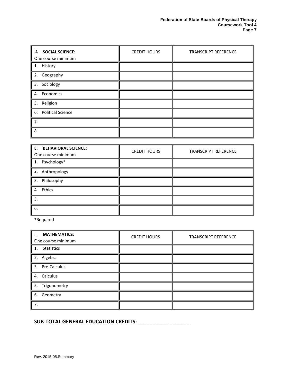| <b>D. SOCIAL SCIENCE:</b><br>One course minimum | <b>CREDIT HOURS</b> | <b>TRANSCRIPT REFERENCE</b> |
|-------------------------------------------------|---------------------|-----------------------------|
|                                                 |                     |                             |
| 1. History                                      |                     |                             |
| 2. Geography                                    |                     |                             |
| 3. Sociology                                    |                     |                             |
| 4. Economics                                    |                     |                             |
| 5. Religion                                     |                     |                             |
| 6. Political Science                            |                     |                             |
| 7.                                              |                     |                             |
| 8.                                              |                     |                             |

| E. BEHAVIORAL SCIENCE:<br>One course minimum | <b>CREDIT HOURS</b> | <b>TRANSCRIPT REFERENCE</b> |
|----------------------------------------------|---------------------|-----------------------------|
| 1. Psychology*                               |                     |                             |
| 2. Anthropology                              |                     |                             |
| 3. Philosophy                                |                     |                             |
| 4. Ethics                                    |                     |                             |
| 5.                                           |                     |                             |
| 6.                                           |                     |                             |

**\***Required

| F.<br><b>MATHEMATICS:</b><br>One course minimum | <b>CREDIT HOURS</b> | <b>TRANSCRIPT REFERENCE</b> |
|-------------------------------------------------|---------------------|-----------------------------|
| 1. Statistics                                   |                     |                             |
| 2. Algebra                                      |                     |                             |
| 3. Pre-Calculus                                 |                     |                             |
| 4. Calculus                                     |                     |                             |
| 5. Trigonometry                                 |                     |                             |
| 6. Geometry                                     |                     |                             |
| 7.                                              |                     |                             |

**SUB-TOTAL GENERAL EDUCATION CREDITS: \_\_\_\_\_\_\_\_\_\_\_\_\_\_\_\_\_\_**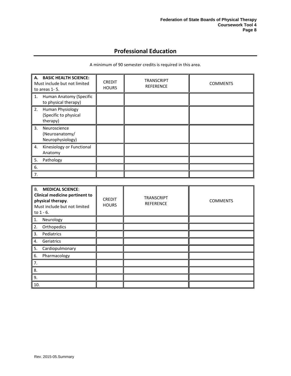## **Professional Education**

A minimum of 90 semester credits is required in this area.

<span id="page-9-0"></span>

| A. BASIC HEALTH SCIENCE:<br>Must include but not limited<br>to areas 1-5. | <b>CREDIT</b><br><b>HOURS</b> | <b>TRANSCRIPT</b><br><b>REFERENCE</b> | <b>COMMENTS</b> |
|---------------------------------------------------------------------------|-------------------------------|---------------------------------------|-----------------|
| Human Anatomy (Specific<br>1.<br>to physical therapy)                     |                               |                                       |                 |
| 2.<br>Human Physiology<br>(Specific to physical<br>therapy)               |                               |                                       |                 |
| 3 <sub>1</sub><br>Neuroscience<br>(Neuroanatomy/<br>Neurophysiology)      |                               |                                       |                 |
| Kinesiology or Functional<br>4.<br>Anatomy                                |                               |                                       |                 |
| 5.<br>Pathology                                                           |                               |                                       |                 |
| 6.                                                                        |                               |                                       |                 |
| 7.                                                                        |                               |                                       |                 |

| <b>B.</b><br><b>MEDICAL SCIENCE:</b><br>Clinical medicine pertinent to<br>physical therapy.<br>Must include but not limited<br>to $1 - 6$ . | <b>CREDIT</b><br><b>HOURS</b> | <b>TRANSCRIPT</b><br><b>REFERENCE</b> | <b>COMMENTS</b> |
|---------------------------------------------------------------------------------------------------------------------------------------------|-------------------------------|---------------------------------------|-----------------|
| Neurology<br>1.                                                                                                                             |                               |                                       |                 |
| 2.<br>Orthopedics                                                                                                                           |                               |                                       |                 |
| 3.<br>Pediatrics                                                                                                                            |                               |                                       |                 |
| Geriatrics<br>4.                                                                                                                            |                               |                                       |                 |
| Cardiopulmonary<br>5.                                                                                                                       |                               |                                       |                 |
| Pharmacology<br>6.                                                                                                                          |                               |                                       |                 |
| 7.                                                                                                                                          |                               |                                       |                 |
| 8.                                                                                                                                          |                               |                                       |                 |
| 9.                                                                                                                                          |                               |                                       |                 |
| 10.                                                                                                                                         |                               |                                       |                 |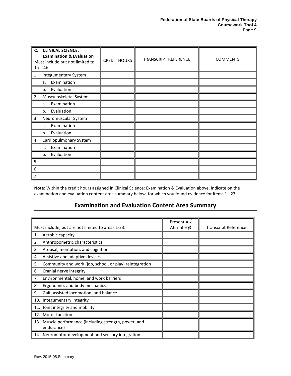| C.<br><b>CLINICAL SCIENCE:</b><br><b>Examination &amp; Evaluation</b><br>Must include but not limited to<br>$1a - 4b$ . | <b>CREDIT HOURS</b> | <b>TRANSCRIPT REFERENCE</b> | <b>COMMENTS</b> |
|-------------------------------------------------------------------------------------------------------------------------|---------------------|-----------------------------|-----------------|
| <b>Integumentary System</b><br>1.                                                                                       |                     |                             |                 |
| Examination<br>a.                                                                                                       |                     |                             |                 |
| Evaluation<br>b.                                                                                                        |                     |                             |                 |
| 2.<br>Musculoskeletal System                                                                                            |                     |                             |                 |
| Examination<br>a.                                                                                                       |                     |                             |                 |
| Evaluation<br>b.                                                                                                        |                     |                             |                 |
| 3.<br>Neuromuscular System                                                                                              |                     |                             |                 |
| Examination<br>a.                                                                                                       |                     |                             |                 |
| Evaluation<br>b.                                                                                                        |                     |                             |                 |
| Cardiopulmonary System<br>4.                                                                                            |                     |                             |                 |
| Examination<br>a.                                                                                                       |                     |                             |                 |
| Evaluation<br>b.                                                                                                        |                     |                             |                 |
| 5.                                                                                                                      |                     |                             |                 |
| 6.                                                                                                                      |                     |                             |                 |
| 7.                                                                                                                      |                     |                             |                 |

<span id="page-10-0"></span>**Note**: Within the credit hours assigned in Clinical Science: Examination & Evaluation above, indicate on the examination and evaluation content area summary below, for which you found evidence for items 1 - 23.

## **Examination and Evaluation Content Area Summary**

| Must include, but are not limited to areas 1-23:                     | Present = $\sqrt{ }$<br>Absent = $\phi$ | <b>Transcript Reference</b> |
|----------------------------------------------------------------------|-----------------------------------------|-----------------------------|
| Aerobic capacity<br>1.                                               |                                         |                             |
| Anthropometric characteristics<br>2.                                 |                                         |                             |
| 3.<br>Arousal, mentation, and cognition                              |                                         |                             |
| Assistive and adaptive devices<br>4.                                 |                                         |                             |
| Community and work (job, school, or play) reintegration<br>5.        |                                         |                             |
| 6.<br>Cranial nerve integrity                                        |                                         |                             |
| Environmental, home, and work barriers<br>7.                         |                                         |                             |
| Ergonomics and body mechanics<br>8.                                  |                                         |                             |
| Gait, assisted locomotion, and balance<br>9.                         |                                         |                             |
| 10. Integumentary integrity                                          |                                         |                             |
| 11. Joint integrity and mobility                                     |                                         |                             |
| 12. Motor function                                                   |                                         |                             |
| 13. Muscle performance (including strength, power, and<br>endurance) |                                         |                             |
| 14. Neuromotor development and sensory integration                   |                                         |                             |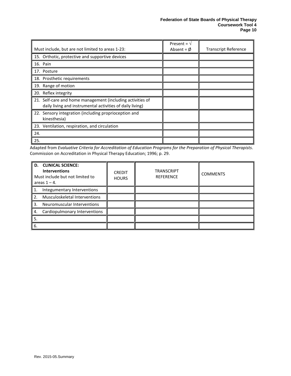|                                                            | Present = $\sqrt{ }$ |                             |
|------------------------------------------------------------|----------------------|-----------------------------|
| Must include, but are not limited to areas 1-23:           | Absent = $\phi$      | <b>Transcript Reference</b> |
| 15. Orthotic, protective and supportive devices            |                      |                             |
| 16. Pain                                                   |                      |                             |
| 17. Posture                                                |                      |                             |
| 18. Prosthetic requirements                                |                      |                             |
| 19. Range of motion                                        |                      |                             |
| 20. Reflex integrity                                       |                      |                             |
| 21. Self-care and home management (including activities of |                      |                             |
| daily living and instrumental activities of daily living)  |                      |                             |
| 22. Sensory integration (including proprioception and      |                      |                             |
| kinesthesia)                                               |                      |                             |
| 23. Ventilation, respiration, and circulation              |                      |                             |
| 24.                                                        |                      |                             |
| 25.                                                        |                      |                             |

Adapted from *Evaluative Criteria for Accreditation of Education Programs for the Preparation of Physical Therapists*. Commission on Accreditation in Physical Therapy Education; 1996; p. 29.

| <b>D. CLINICAL SCIENCE:</b><br><b>Interventions</b><br>Must include but not limited to<br>areas $1 - 4$ . | <b>CREDIT</b><br><b>HOURS</b> | <b>TRANSCRIPT</b><br><b>REFERENCE</b> | <b>COMMENTS</b> |
|-----------------------------------------------------------------------------------------------------------|-------------------------------|---------------------------------------|-----------------|
| Integumentary Interventions<br>1.                                                                         |                               |                                       |                 |
| Musculoskeletal Interventions<br>2.                                                                       |                               |                                       |                 |
| Neuromuscular Interventions<br>3.                                                                         |                               |                                       |                 |
| Cardiopulmonary Interventions<br>. 4.                                                                     |                               |                                       |                 |
| 5.                                                                                                        |                               |                                       |                 |
| 6.                                                                                                        |                               |                                       |                 |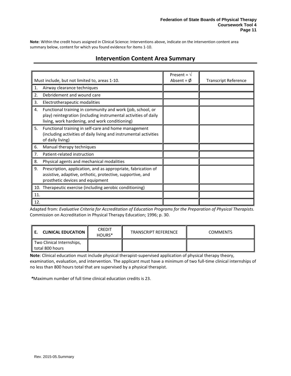<span id="page-12-0"></span>**Note**: Within the credit hours assigned in Clinical Science: Interventions above, indicate on the intervention content area summary below, content for which you found evidence for items 1-10.

## **Intervention Content Area Summary**

|                                                                                                                                                                                       | Present = $\sqrt{ }$ |                             |
|---------------------------------------------------------------------------------------------------------------------------------------------------------------------------------------|----------------------|-----------------------------|
| Must include, but not limited to, areas 1-10.                                                                                                                                         | Absent = $\phi$      | <b>Transcript Reference</b> |
| Airway clearance techniques<br>1.                                                                                                                                                     |                      |                             |
| Debridement and wound care<br>2.                                                                                                                                                      |                      |                             |
| Electrotherapeutic modalities<br>3.                                                                                                                                                   |                      |                             |
| Functional training in community and work (job, school, or<br>4.<br>play) reintegration (including instrumental activities of daily<br>living, work hardening, and work conditioning) |                      |                             |
| 5.<br>Functional training in self-care and home management<br>(including activities of daily living and instrumental activities<br>of daily living)                                   |                      |                             |
| Manual therapy techniques<br>6.                                                                                                                                                       |                      |                             |
| Patient-related instruction<br>7.                                                                                                                                                     |                      |                             |
| Physical agents and mechanical modalities<br>8.                                                                                                                                       |                      |                             |
| 9.<br>Prescription, application, and as appropriate, fabrication of<br>assistive, adaptive, orthotic, protective, supportive, and<br>prosthetic devices and equipment                 |                      |                             |
| 10. Therapeutic exercise (including aerobic conditioning)                                                                                                                             |                      |                             |
| 11.                                                                                                                                                                                   |                      |                             |
| 12.                                                                                                                                                                                   |                      |                             |

Adapted from: *Evaluative Criteria for Accreditation of Education Programs for the Preparation of Physical Therapists.* Commission on Accreditation in Physical Therapy Education; 1996; p. 30.

| <b>CLINICAL EDUCATION</b>                    | <b>CREDIT</b><br>HOURS <sup>*</sup> | <b>TRANSCRIPT REFERENCE</b> | <b>COMMENTS</b> |
|----------------------------------------------|-------------------------------------|-----------------------------|-----------------|
| Two Clinical Internships,<br>total 800 hours |                                     |                             |                 |

**Note**: Clinical education must include physical therapist-supervised application of physical therapy theory, examination, evaluation, and intervention. The applicant must have a minimum of two full-time clinical internships of no less than 800 hours total that are supervised by a physical therapist.

*\**Maximum number of full time clinical education credits is 23.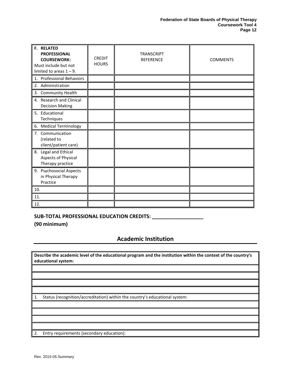| <b>F. RELATED</b><br><b>PROFESSIONAL</b><br><b>COURSEWORK:</b><br>Must include but not<br>limited to areas $1 - 9$ . | <b>CREDIT</b><br><b>HOURS</b> | <b>TRANSCRIPT</b><br><b>REFERENCE</b> | <b>COMMENTS</b> |
|----------------------------------------------------------------------------------------------------------------------|-------------------------------|---------------------------------------|-----------------|
| 1. Professional Behaviors                                                                                            |                               |                                       |                 |
| 2. Administration                                                                                                    |                               |                                       |                 |
| 3. Community Health                                                                                                  |                               |                                       |                 |
| 4. Research and Clinical<br><b>Decision Making</b>                                                                   |                               |                                       |                 |
| 5. Educational<br>Techniques                                                                                         |                               |                                       |                 |
| 6. Medical Terminology                                                                                               |                               |                                       |                 |
| 7. Communication<br>(related to<br>client/patient care)                                                              |                               |                                       |                 |
| 8. Legal and Ethical<br>Aspects of Physical<br>Therapy practice                                                      |                               |                                       |                 |
| 9. Psychosocial Aspects<br>in Physical Therapy<br>Practice                                                           |                               |                                       |                 |
| 10.                                                                                                                  |                               |                                       |                 |
| 11.                                                                                                                  |                               |                                       |                 |
| 12.                                                                                                                  |                               |                                       |                 |

### **SUB-TOTAL PROFESSIONAL EDUCATION CREDITS: \_\_\_\_\_\_\_\_\_\_\_\_\_\_\_\_\_\_**

<span id="page-13-0"></span>**(90 minimum)**

## **Academic Institution**

**Describe the academic level of the educational program and the institution within the context of the country's educational system:**

1. Status (recognition/accreditation) within the country's educational system:

2. Entry requirements (secondary education):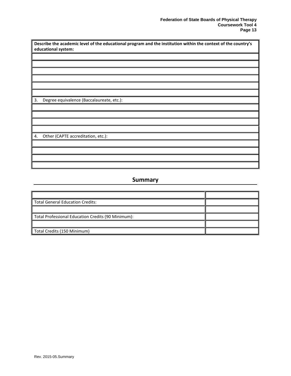| Describe the academic level of the educational program and the institution within the context of the country's |
|----------------------------------------------------------------------------------------------------------------|
| educational system:                                                                                            |
|                                                                                                                |
|                                                                                                                |
|                                                                                                                |
|                                                                                                                |
|                                                                                                                |
|                                                                                                                |
| 3.<br>Degree equivalence (Baccalaureate, etc.):                                                                |
|                                                                                                                |
|                                                                                                                |
|                                                                                                                |
|                                                                                                                |
| Other (CAPTE accreditation, etc.):<br>4.                                                                       |
|                                                                                                                |
|                                                                                                                |
|                                                                                                                |
|                                                                                                                |

## **Summary**

<span id="page-14-0"></span>

| <b>Total General Education Credits:</b>            |  |
|----------------------------------------------------|--|
|                                                    |  |
| Total Professional Education Credits (90 Minimum): |  |
|                                                    |  |
| Total Credits (150 Minimum)                        |  |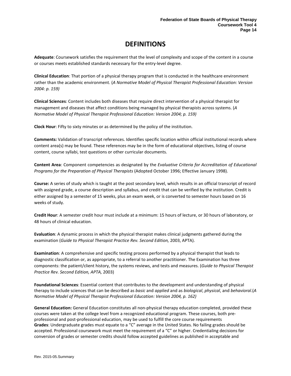# **DEFINITIONS**

<span id="page-15-0"></span>**Adequate**: Coursework satisfies the requirement that the level of complexity and scope of the content in a course or courses meets established standards necessary for the entry-level degree.

**Clinical Education**: That portion of a physical therapy program that is conducted in the healthcare environment rather than the academic environment. (*A Normative Model of Physical Therapist Professional Education: Version 2004: p. 159)* 

**Clinical Sciences**: Content includes both diseases that require direct intervention of a physical therapist for management and diseases that affect conditions being managed by physical therapists across systems. (*A Normative Model of Physical Therapist Professional Education: Version 2004; p. 159)*

**Clock Hour**: Fifty to sixty minutes or as determined by the policy of the institution.

**Comments:** Validation of transcript references. Identifies specific location within official institutional records where content area(s) may be found. These references may be in the form of educational objectives, listing of course content, course syllabi, test questions or other curricular documents.

**Content Area**: Component competencies as designated by the *Evaluative Criteria for Accreditation of Educational Programs for the Preparation of Physical Therapists* (Adopted October 1996; Effective January 1998).

**Course:** A series of study which is taught at the post secondary level, which results in an official transcript of record with assigned grade, a course description and syllabus, and credit that can be verified by the institution. Credit is either assigned by a semester of 15 weeks, plus an exam week, or is converted to semester hours based on 16 weeks of study.

**Credit Hour**: A semester credit hour must include at a minimum: 15 hours of lecture, or 30 hours of laboratory, or 48 hours of clinical education.

**Evaluation**: A dynamic process in which the physical therapist makes clinical judgments gathered during the examination (*Guide to Physical Therapist Practice Rev. Second Edition,* 2003, APTA).

**Examination**: A comprehensive and specific testing process performed by a physical therapist that leads to diagnostic classification or, as appropriate, to a referral to another practitioner. The Examination has three components: the patient/client history, the systems reviews, and tests and measures. (*Guide to Physical Therapist Practice Rev. Second Edition, APTA,* 2003)

**Foundational Sciences**: Essential content that contributes to the development and understanding of physical therapy to include sciences that can be described as *basic* and *applied* and as *biological*, *physical*, and *behavioral*.(*A Normative Model of Physical Therapist Professional Education: Version 2004, p. 162)*

**General Education:** General Education constitutes all non-physical therapy education completed, provided these courses were taken at the college level from a recognized educational program. These courses, both preprofessional and post-professional education, may be used to fulfill the core course requirements **Grades**: Undergraduate grades must equate to a "C" average in the United States. No failing grades should be accepted. Professional coursework must meet the requirement of a "C" or higher. Credentialing decisions for conversion of grades or semester credits should follow accepted guidelines as published in acceptable and